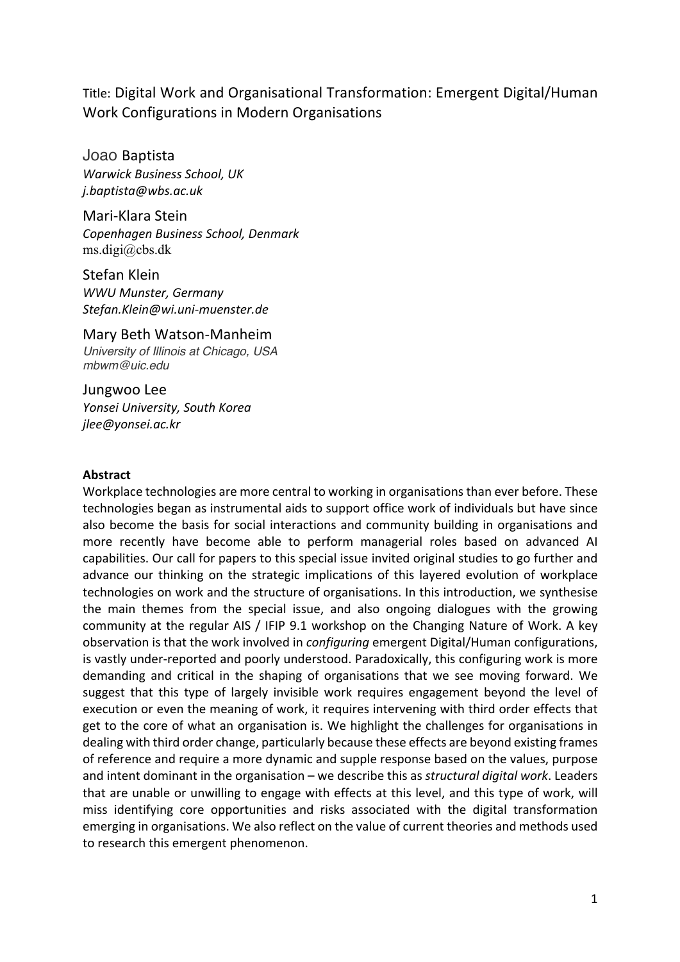Title: Digital Work and Organisational Transformation: Emergent Digital/Human Work Configurations in Modern Organisations

Joao Baptista *Warwick Business School, UK j.baptista@wbs.ac.uk*

Mari-Klara Stein *Copenhagen Business School, Denmark* ms.digi@cbs.dk

Stefan Klein *WWU Munster, Germany Stefan.Klein@wi.uni-muenster.de*

Mary Beth Watson-Manheim *University of Illinois at Chicago, USA mbwm@uic.edu*

Jungwoo Lee *Yonsei University, South Korea jlee@yonsei.ac.kr*

#### **Abstract**

Workplace technologies are more central to working in organisations than ever before. These technologies began as instrumental aids to support office work of individuals but have since also become the basis for social interactions and community building in organisations and more recently have become able to perform managerial roles based on advanced AI capabilities. Our call for papers to this special issue invited original studies to go further and advance our thinking on the strategic implications of this layered evolution of workplace technologies on work and the structure of organisations. In this introduction, we synthesise the main themes from the special issue, and also ongoing dialogues with the growing community at the regular AIS / IFIP 9.1 workshop on the Changing Nature of Work. A key observation is that the work involved in *configuring* emergent Digital/Human configurations, is vastly under-reported and poorly understood. Paradoxically, this configuring work is more demanding and critical in the shaping of organisations that we see moving forward. We suggest that this type of largely invisible work requires engagement beyond the level of execution or even the meaning of work, it requires intervening with third order effects that get to the core of what an organisation is. We highlight the challenges for organisations in dealing with third order change, particularly because these effects are beyond existing frames of reference and require a more dynamic and supple response based on the values, purpose and intent dominant in the organisation – we describe this as *structural digital work*. Leaders that are unable or unwilling to engage with effects at this level, and this type of work, will miss identifying core opportunities and risks associated with the digital transformation emerging in organisations. We also reflect on the value of current theories and methods used to research this emergent phenomenon.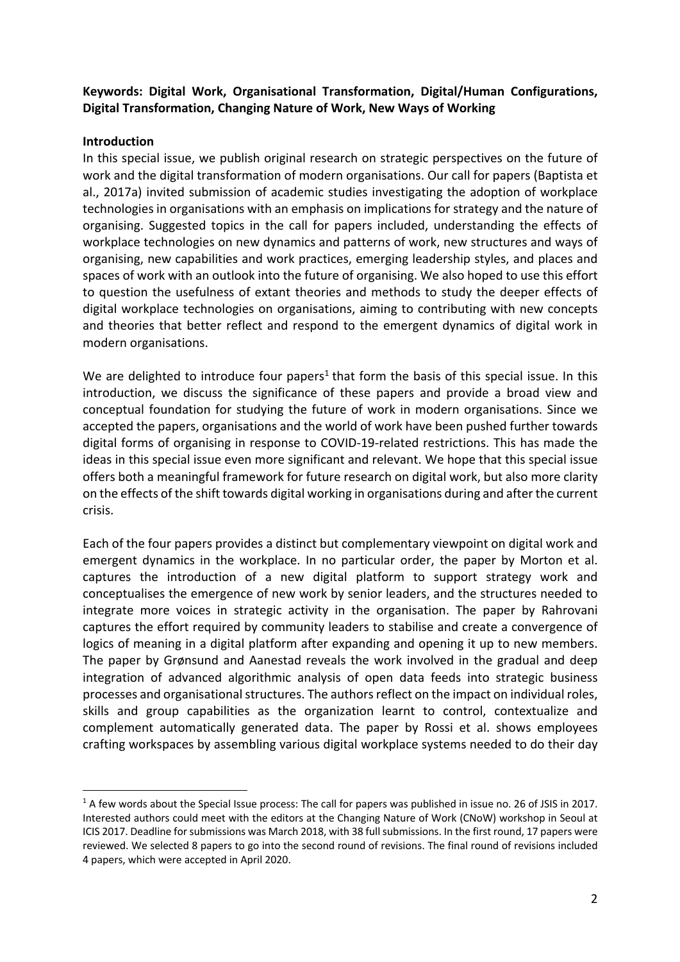# **Keywords: Digital Work, Organisational Transformation, Digital/Human Configurations, Digital Transformation, Changing Nature of Work, New Ways of Working**

### **Introduction**

In this special issue, we publish original research on strategic perspectives on the future of work and the digital transformation of modern organisations. Our call for papers (Baptista et al., 2017a) invited submission of academic studies investigating the adoption of workplace technologies in organisations with an emphasis on implications for strategy and the nature of organising. Suggested topics in the call for papers included, understanding the effects of workplace technologies on new dynamics and patterns of work, new structures and ways of organising, new capabilities and work practices, emerging leadership styles, and places and spaces of work with an outlook into the future of organising. We also hoped to use this effort to question the usefulness of extant theories and methods to study the deeper effects of digital workplace technologies on organisations, aiming to contributing with new concepts and theories that better reflect and respond to the emergent dynamics of digital work in modern organisations.

We are delighted to introduce four papers<sup>1</sup> that form the basis of this special issue. In this introduction, we discuss the significance of these papers and provide a broad view and conceptual foundation for studying the future of work in modern organisations. Since we accepted the papers, organisations and the world of work have been pushed further towards digital forms of organising in response to COVID-19-related restrictions. This has made the ideas in this special issue even more significant and relevant. We hope that this special issue offers both a meaningful framework for future research on digital work, but also more clarity on the effects of the shift towards digital working in organisations during and after the current crisis.

Each of the four papers provides a distinct but complementary viewpoint on digital work and emergent dynamics in the workplace. In no particular order, the paper by Morton et al. captures the introduction of a new digital platform to support strategy work and conceptualises the emergence of new work by senior leaders, and the structures needed to integrate more voices in strategic activity in the organisation. The paper by Rahrovani captures the effort required by community leaders to stabilise and create a convergence of logics of meaning in a digital platform after expanding and opening it up to new members. The paper by Grønsund and Aanestad reveals the work involved in the gradual and deep integration of advanced algorithmic analysis of open data feeds into strategic business processes and organisational structures. The authors reflect on the impact on individual roles, skills and group capabilities as the organization learnt to control, contextualize and complement automatically generated data. The paper by Rossi et al. shows employees crafting workspaces by assembling various digital workplace systems needed to do their day

<sup>&</sup>lt;sup>1</sup> A few words about the Special Issue process: The call for papers was published in issue no. 26 of JSIS in 2017. Interested authors could meet with the editors at the Changing Nature of Work (CNoW) workshop in Seoul at ICIS 2017. Deadline for submissions was March 2018, with 38 full submissions. In the first round, 17 papers were reviewed. We selected 8 papers to go into the second round of revisions. The final round of revisions included 4 papers, which were accepted in April 2020.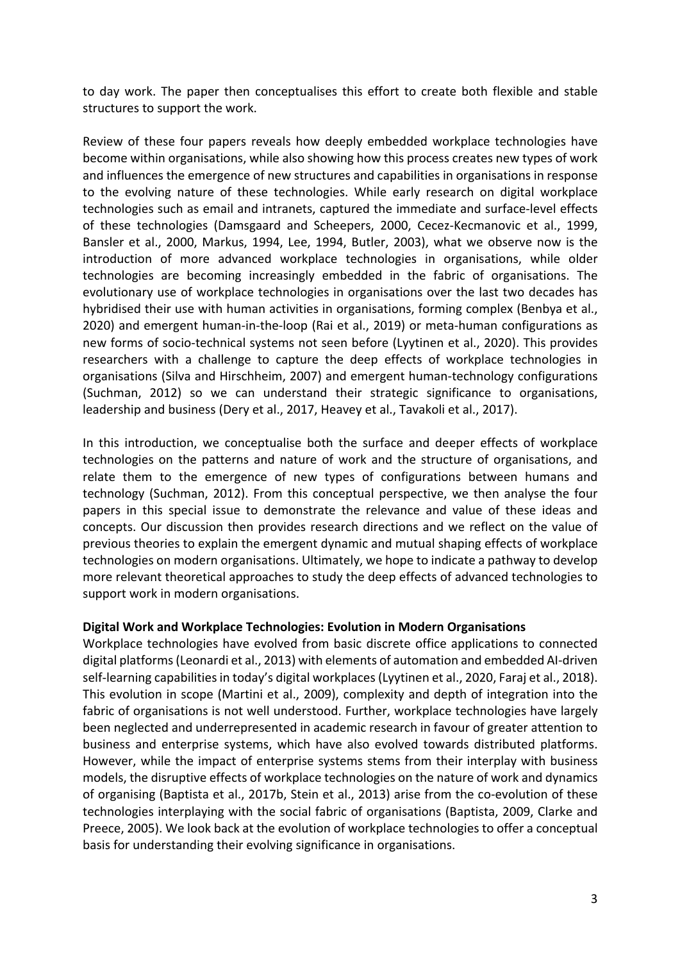to day work. The paper then conceptualises this effort to create both flexible and stable structures to support the work.

Review of these four papers reveals how deeply embedded workplace technologies have become within organisations, while also showing how this process creates new types of work and influences the emergence of new structures and capabilities in organisations in response to the evolving nature of these technologies. While early research on digital workplace technologies such as email and intranets, captured the immediate and surface-level effects of these technologies (Damsgaard and Scheepers, 2000, Cecez-Kecmanovic et al., 1999, Bansler et al., 2000, Markus, 1994, Lee, 1994, Butler, 2003), what we observe now is the introduction of more advanced workplace technologies in organisations, while older technologies are becoming increasingly embedded in the fabric of organisations. The evolutionary use of workplace technologies in organisations over the last two decades has hybridised their use with human activities in organisations, forming complex (Benbya et al., 2020) and emergent human-in-the-loop (Rai et al., 2019) or meta-human configurations as new forms of socio-technical systems not seen before (Lyytinen et al., 2020). This provides researchers with a challenge to capture the deep effects of workplace technologies in organisations (Silva and Hirschheim, 2007) and emergent human-technology configurations (Suchman, 2012) so we can understand their strategic significance to organisations, leadership and business (Dery et al., 2017, Heavey et al., Tavakoli et al., 2017).

In this introduction, we conceptualise both the surface and deeper effects of workplace technologies on the patterns and nature of work and the structure of organisations, and relate them to the emergence of new types of configurations between humans and technology (Suchman, 2012). From this conceptual perspective, we then analyse the four papers in this special issue to demonstrate the relevance and value of these ideas and concepts. Our discussion then provides research directions and we reflect on the value of previous theories to explain the emergent dynamic and mutual shaping effects of workplace technologies on modern organisations. Ultimately, we hope to indicate a pathway to develop more relevant theoretical approaches to study the deep effects of advanced technologies to support work in modern organisations.

#### **Digital Work and Workplace Technologies: Evolution in Modern Organisations**

Workplace technologies have evolved from basic discrete office applications to connected digital platforms(Leonardi et al., 2013) with elements of automation and embedded AI-driven self-learning capabilities in today's digital workplaces(Lyytinen et al., 2020, Faraj et al., 2018). This evolution in scope (Martini et al., 2009), complexity and depth of integration into the fabric of organisations is not well understood. Further, workplace technologies have largely been neglected and underrepresented in academic research in favour of greater attention to business and enterprise systems, which have also evolved towards distributed platforms. However, while the impact of enterprise systems stems from their interplay with business models, the disruptive effects of workplace technologies on the nature of work and dynamics of organising (Baptista et al., 2017b, Stein et al., 2013) arise from the co-evolution of these technologies interplaying with the social fabric of organisations (Baptista, 2009, Clarke and Preece, 2005). We look back at the evolution of workplace technologies to offer a conceptual basis for understanding their evolving significance in organisations.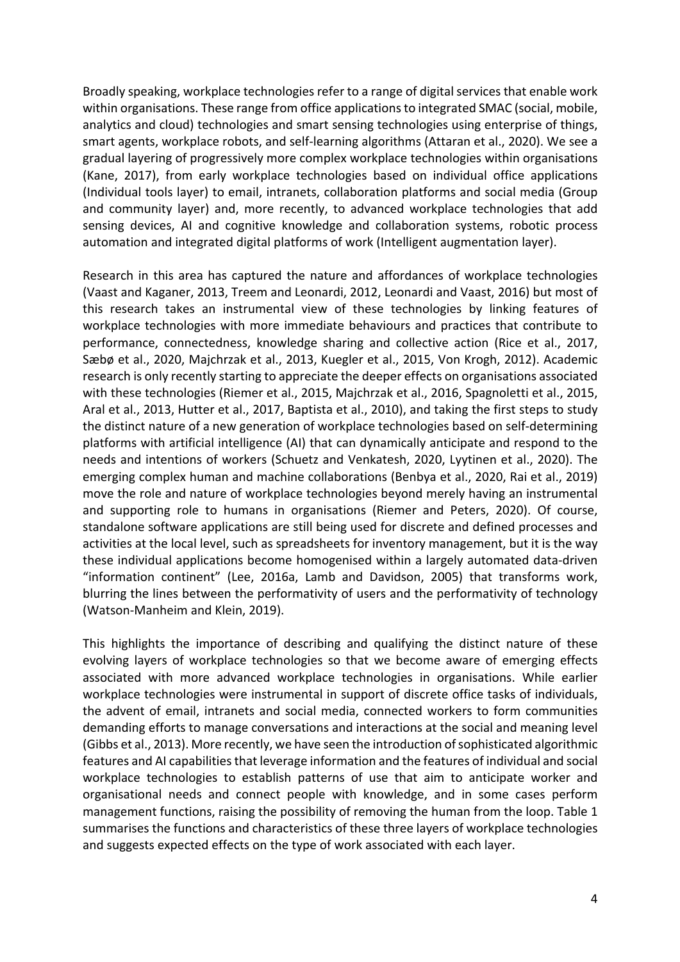Broadly speaking, workplace technologies refer to a range of digital services that enable work within organisations. These range from office applications to integrated SMAC (social, mobile, analytics and cloud) technologies and smart sensing technologies using enterprise of things, smart agents, workplace robots, and self-learning algorithms (Attaran et al., 2020). We see a gradual layering of progressively more complex workplace technologies within organisations (Kane, 2017), from early workplace technologies based on individual office applications (Individual tools layer) to email, intranets, collaboration platforms and social media (Group and community layer) and, more recently, to advanced workplace technologies that add sensing devices, AI and cognitive knowledge and collaboration systems, robotic process automation and integrated digital platforms of work (Intelligent augmentation layer).

Research in this area has captured the nature and affordances of workplace technologies (Vaast and Kaganer, 2013, Treem and Leonardi, 2012, Leonardi and Vaast, 2016) but most of this research takes an instrumental view of these technologies by linking features of workplace technologies with more immediate behaviours and practices that contribute to performance, connectedness, knowledge sharing and collective action (Rice et al., 2017, Sæbø et al., 2020, Majchrzak et al., 2013, Kuegler et al., 2015, Von Krogh, 2012). Academic research is only recently starting to appreciate the deeper effects on organisations associated with these technologies (Riemer et al., 2015, Majchrzak et al., 2016, Spagnoletti et al., 2015, Aral et al., 2013, Hutter et al., 2017, Baptista et al., 2010), and taking the first steps to study the distinct nature of a new generation of workplace technologies based on self-determining platforms with artificial intelligence (AI) that can dynamically anticipate and respond to the needs and intentions of workers (Schuetz and Venkatesh, 2020, Lyytinen et al., 2020). The emerging complex human and machine collaborations (Benbya et al., 2020, Rai et al., 2019) move the role and nature of workplace technologies beyond merely having an instrumental and supporting role to humans in organisations (Riemer and Peters, 2020). Of course, standalone software applications are still being used for discrete and defined processes and activities at the local level, such as spreadsheets for inventory management, but it is the way these individual applications become homogenised within a largely automated data-driven "information continent" (Lee, 2016a, Lamb and Davidson, 2005) that transforms work, blurring the lines between the performativity of users and the performativity of technology (Watson-Manheim and Klein, 2019).

This highlights the importance of describing and qualifying the distinct nature of these evolving layers of workplace technologies so that we become aware of emerging effects associated with more advanced workplace technologies in organisations. While earlier workplace technologies were instrumental in support of discrete office tasks of individuals, the advent of email, intranets and social media, connected workers to form communities demanding efforts to manage conversations and interactions at the social and meaning level (Gibbs et al., 2013). More recently, we have seen the introduction of sophisticated algorithmic features and AI capabilities that leverage information and the features of individual and social workplace technologies to establish patterns of use that aim to anticipate worker and organisational needs and connect people with knowledge, and in some cases perform management functions, raising the possibility of removing the human from the loop. Table 1 summarises the functions and characteristics of these three layers of workplace technologies and suggests expected effects on the type of work associated with each layer.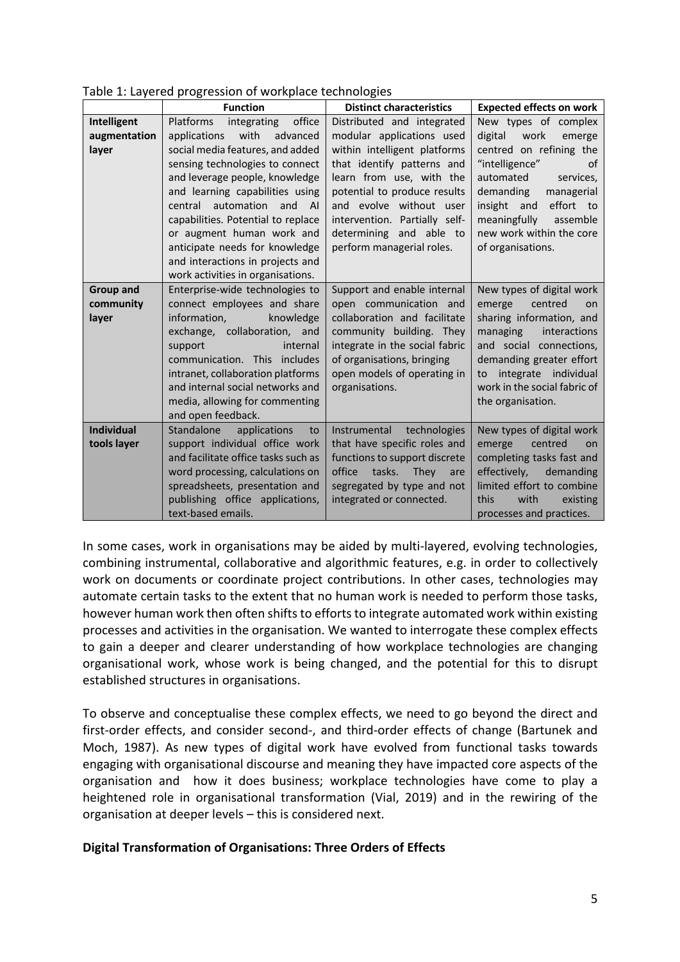|  | Table 1: Layered progression of workplace technologies |
|--|--------------------------------------------------------|
|  |                                                        |

|                   | et een priegt eeetert en met tiptaeel teenmete<br><b>Function</b>                                                                                                                                                                                                                                                                                   | <b>Distinct characteristics</b>                                                                                                                                                                                                            | <b>Expected effects on work</b>                                                                                                                                                                         |
|-------------------|-----------------------------------------------------------------------------------------------------------------------------------------------------------------------------------------------------------------------------------------------------------------------------------------------------------------------------------------------------|--------------------------------------------------------------------------------------------------------------------------------------------------------------------------------------------------------------------------------------------|---------------------------------------------------------------------------------------------------------------------------------------------------------------------------------------------------------|
| Intelligent       | Platforms integrating office                                                                                                                                                                                                                                                                                                                        | Distributed and integrated                                                                                                                                                                                                                 | New types of complex                                                                                                                                                                                    |
| augmentation      | applications with<br>advanced                                                                                                                                                                                                                                                                                                                       | modular applications used                                                                                                                                                                                                                  | digital<br>work<br>emerge                                                                                                                                                                               |
| layer             | social media features, and added<br>sensing technologies to connect<br>and leverage people, knowledge<br>and learning capabilities using<br>central automation and AI<br>capabilities. Potential to replace<br>or augment human work and<br>anticipate needs for knowledge<br>and interactions in projects and<br>work activities in organisations. | within intelligent platforms<br>that identify patterns and<br>learn from use, with the<br>potential to produce results<br>and evolve without user<br>intervention. Partially self-<br>determining and able to<br>perform managerial roles. | centred on refining the<br>"intelligence"<br>of<br>automated<br>services,<br>demanding<br>managerial<br>insight and effort to<br>meaningfully assemble<br>new work within the core<br>of organisations. |
| <b>Group and</b>  | Enterprise-wide technologies to                                                                                                                                                                                                                                                                                                                     | Support and enable internal                                                                                                                                                                                                                | New types of digital work                                                                                                                                                                               |
| community         | connect employees and share                                                                                                                                                                                                                                                                                                                         | open communication and                                                                                                                                                                                                                     | emerge<br>centred<br>on                                                                                                                                                                                 |
| layer             | information,<br>knowledge                                                                                                                                                                                                                                                                                                                           | collaboration and facilitate                                                                                                                                                                                                               | sharing information, and                                                                                                                                                                                |
|                   | exchange, collaboration, and                                                                                                                                                                                                                                                                                                                        | community building. They                                                                                                                                                                                                                   | managing<br>interactions                                                                                                                                                                                |
|                   | internal<br>support                                                                                                                                                                                                                                                                                                                                 | integrate in the social fabric                                                                                                                                                                                                             | and social connections,                                                                                                                                                                                 |
|                   | communication. This includes                                                                                                                                                                                                                                                                                                                        | of organisations, bringing                                                                                                                                                                                                                 | demanding greater effort                                                                                                                                                                                |
|                   | intranet, collaboration platforms                                                                                                                                                                                                                                                                                                                   | open models of operating in                                                                                                                                                                                                                | to integrate individual                                                                                                                                                                                 |
|                   | and internal social networks and                                                                                                                                                                                                                                                                                                                    | organisations.                                                                                                                                                                                                                             | work in the social fabric of                                                                                                                                                                            |
|                   | media, allowing for commenting<br>and open feedback.                                                                                                                                                                                                                                                                                                |                                                                                                                                                                                                                                            | the organisation.                                                                                                                                                                                       |
| <b>Individual</b> | Standalone applications<br>to                                                                                                                                                                                                                                                                                                                       | Instrumental technologies                                                                                                                                                                                                                  | New types of digital work                                                                                                                                                                               |
| tools layer       | support individual office work                                                                                                                                                                                                                                                                                                                      | that have specific roles and                                                                                                                                                                                                               | emerge<br>centred<br>on                                                                                                                                                                                 |
|                   | and facilitate office tasks such as                                                                                                                                                                                                                                                                                                                 | functions to support discrete                                                                                                                                                                                                              | completing tasks fast and                                                                                                                                                                               |
|                   | word processing, calculations on                                                                                                                                                                                                                                                                                                                    | office<br>tasks.<br>They<br>are                                                                                                                                                                                                            | effectively,<br>demanding                                                                                                                                                                               |
|                   | spreadsheets, presentation and                                                                                                                                                                                                                                                                                                                      | segregated by type and not                                                                                                                                                                                                                 | limited effort to combine                                                                                                                                                                               |
|                   | publishing office applications,                                                                                                                                                                                                                                                                                                                     | integrated or connected.                                                                                                                                                                                                                   | this<br>with<br>existing                                                                                                                                                                                |
|                   | text-based emails.                                                                                                                                                                                                                                                                                                                                  |                                                                                                                                                                                                                                            | processes and practices.                                                                                                                                                                                |

In some cases, work in organisations may be aided by multi-layered, evolving technologies, combining instrumental, collaborative and algorithmic features, e.g. in order to collectively work on documents or coordinate project contributions. In other cases, technologies may automate certain tasks to the extent that no human work is needed to perform those tasks, however human work then often shifts to efforts to integrate automated work within existing processes and activities in the organisation. We wanted to interrogate these complex effects to gain a deeper and clearer understanding of how workplace technologies are changing organisational work, whose work is being changed, and the potential for this to disrupt established structures in organisations.

To observe and conceptualise these complex effects, we need to go beyond the direct and first-order effects, and consider second-, and third-order effects of change (Bartunek and Moch, 1987). As new types of digital work have evolved from functional tasks towards engaging with organisational discourse and meaning they have impacted core aspects of the organisation and how it does business; workplace technologies have come to play a heightened role in organisational transformation (Vial, 2019) and in the rewiring of the organisation at deeper levels – this is considered next.

## **Digital Transformation of Organisations: Three Orders of Effects**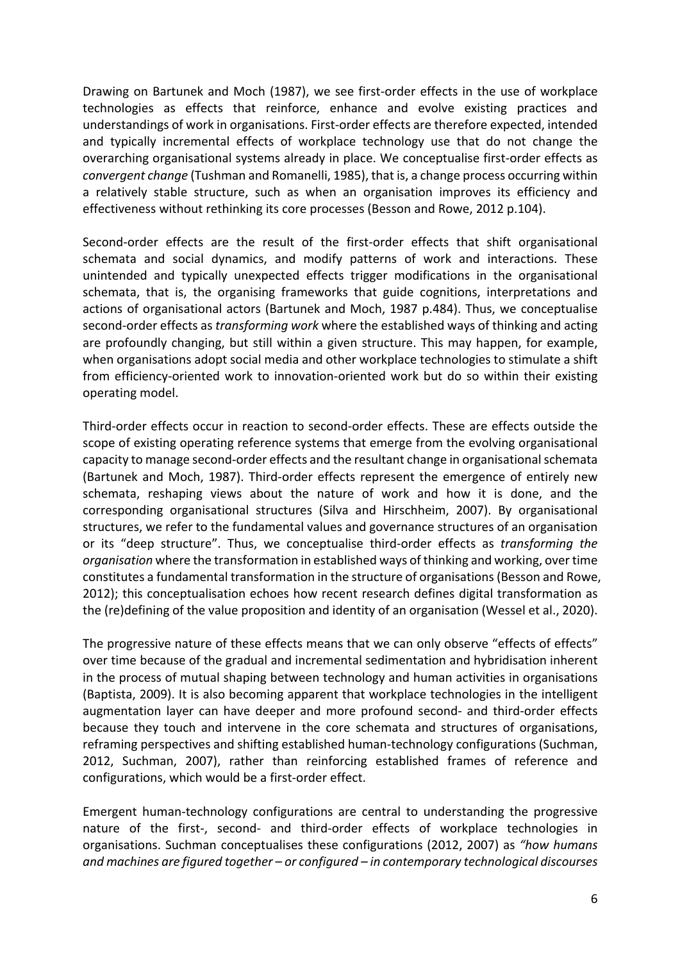Drawing on Bartunek and Moch (1987), we see first-order effects in the use of workplace technologies as effects that reinforce, enhance and evolve existing practices and understandings of work in organisations. First-order effects are therefore expected, intended and typically incremental effects of workplace technology use that do not change the overarching organisational systems already in place. We conceptualise first-order effects as *convergent change* (Tushman and Romanelli, 1985), that is, a change process occurring within a relatively stable structure, such as when an organisation improves its efficiency and effectiveness without rethinking its core processes (Besson and Rowe, 2012 p.104).

Second-order effects are the result of the first-order effects that shift organisational schemata and social dynamics, and modify patterns of work and interactions. These unintended and typically unexpected effects trigger modifications in the organisational schemata, that is, the organising frameworks that guide cognitions, interpretations and actions of organisational actors (Bartunek and Moch, 1987 p.484). Thus, we conceptualise second-order effects as *transforming work* where the established ways of thinking and acting are profoundly changing, but still within a given structure. This may happen, for example, when organisations adopt social media and other workplace technologies to stimulate a shift from efficiency-oriented work to innovation-oriented work but do so within their existing operating model.

Third-order effects occur in reaction to second-order effects. These are effects outside the scope of existing operating reference systems that emerge from the evolving organisational capacity to manage second-order effects and the resultant change in organisational schemata (Bartunek and Moch, 1987). Third-order effects represent the emergence of entirely new schemata, reshaping views about the nature of work and how it is done, and the corresponding organisational structures (Silva and Hirschheim, 2007). By organisational structures, we refer to the fundamental values and governance structures of an organisation or its "deep structure". Thus, we conceptualise third-order effects as *transforming the organisation* where the transformation in established ways of thinking and working, over time constitutes a fundamental transformation in the structure of organisations(Besson and Rowe, 2012); this conceptualisation echoes how recent research defines digital transformation as the (re)defining of the value proposition and identity of an organisation (Wessel et al., 2020).

The progressive nature of these effects means that we can only observe "effects of effects" over time because of the gradual and incremental sedimentation and hybridisation inherent in the process of mutual shaping between technology and human activities in organisations (Baptista, 2009). It is also becoming apparent that workplace technologies in the intelligent augmentation layer can have deeper and more profound second- and third-order effects because they touch and intervene in the core schemata and structures of organisations, reframing perspectives and shifting established human-technology configurations (Suchman, 2012, Suchman, 2007), rather than reinforcing established frames of reference and configurations, which would be a first-order effect.

Emergent human-technology configurations are central to understanding the progressive nature of the first-, second- and third-order effects of workplace technologies in organisations. Suchman conceptualises these configurations (2012, 2007) as *"how humans and machines are figured together – or configured – in contemporary technological discourses*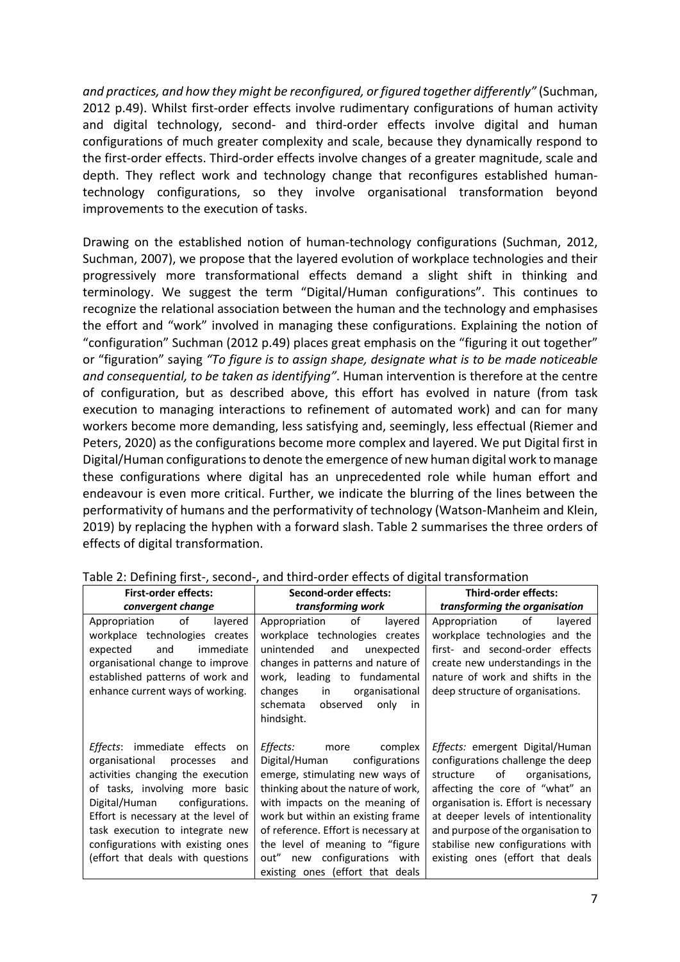*and practices, and how they might be reconfigured, or figured together differently"* (Suchman, 2012 p.49). Whilst first-order effects involve rudimentary configurations of human activity and digital technology, second- and third-order effects involve digital and human configurations of much greater complexity and scale, because they dynamically respond to the first-order effects. Third-order effects involve changes of a greater magnitude, scale and depth. They reflect work and technology change that reconfigures established humantechnology configurations, so they involve organisational transformation beyond improvements to the execution of tasks.

Drawing on the established notion of human-technology configurations (Suchman, 2012, Suchman, 2007), we propose that the layered evolution of workplace technologies and their progressively more transformational effects demand a slight shift in thinking and terminology. We suggest the term "Digital/Human configurations". This continues to recognize the relational association between the human and the technology and emphasises the effort and "work" involved in managing these configurations. Explaining the notion of "configuration" Suchman (2012 p.49) places great emphasis on the "figuring it out together" or "figuration" saying *"To figure is to assign shape, designate what is to be made noticeable and consequential, to be taken as identifying"*. Human intervention is therefore at the centre of configuration, but as described above, this effort has evolved in nature (from task execution to managing interactions to refinement of automated work) and can for many workers become more demanding, less satisfying and, seemingly, less effectual (Riemer and Peters, 2020) as the configurations become more complex and layered. We put Digital first in Digital/Human configurations to denote the emergence of new human digital work to manage these configurations where digital has an unprecedented role while human effort and endeavour is even more critical. Further, we indicate the blurring of the lines between the performativity of humans and the performativity of technology (Watson-Manheim and Klein, 2019) by replacing the hyphen with a forward slash. Table 2 summarises the three orders of effects of digital transformation.

| <b>First-order effects:</b>                                                                                                                                                                                                                                                                                                                      | Second-order effects:                                                                                                                                                                                                                                                                                                                                                 | <b>Third-order effects:</b>                                                                                                                                                                                                                                                                                                               |
|--------------------------------------------------------------------------------------------------------------------------------------------------------------------------------------------------------------------------------------------------------------------------------------------------------------------------------------------------|-----------------------------------------------------------------------------------------------------------------------------------------------------------------------------------------------------------------------------------------------------------------------------------------------------------------------------------------------------------------------|-------------------------------------------------------------------------------------------------------------------------------------------------------------------------------------------------------------------------------------------------------------------------------------------------------------------------------------------|
| convergent change                                                                                                                                                                                                                                                                                                                                | transforming work                                                                                                                                                                                                                                                                                                                                                     | transforming the organisation                                                                                                                                                                                                                                                                                                             |
| of<br>Appropriation<br>layered<br>workplace technologies creates<br>and<br>immediate<br>expected<br>organisational change to improve<br>established patterns of work and<br>enhance current ways of working.                                                                                                                                     | of<br>Appropriation<br>layered<br>workplace technologies<br>creates<br>unintended<br>and<br>unexpected<br>changes in patterns and nature of<br>work, leading to fundamental<br>changes<br>organisational<br>in<br>schemata<br>observed<br>only<br>in<br>hindsight.                                                                                                    | of<br>Appropriation<br>layered<br>workplace technologies and the<br>first- and second-order effects<br>create new understandings in the<br>nature of work and shifts in the<br>deep structure of organisations.                                                                                                                           |
| immediate effects<br><i>Effects</i> :<br>on<br>organisational<br>processes<br>and<br>activities changing the execution<br>of tasks, involving more basic<br>Digital/Human<br>configurations.<br>Effort is necessary at the level of<br>task execution to integrate new<br>configurations with existing ones<br>(effort that deals with questions | <i>Effects:</i><br>complex<br>more<br>configurations<br>Digital/Human<br>emerge, stimulating new ways of<br>thinking about the nature of work,<br>with impacts on the meaning of<br>work but within an existing frame<br>of reference. Effort is necessary at<br>the level of meaning to "figure"<br>out" new configurations with<br>existing ones (effort that deals | Effects: emergent Digital/Human<br>configurations challenge the deep<br>of<br>organisations,<br>structure<br>affecting the core of "what" an<br>organisation is. Effort is necessary<br>at deeper levels of intentionality<br>and purpose of the organisation to<br>stabilise new configurations with<br>existing ones (effort that deals |

Table 2: Defining first-, second-, and third-order effects of digital transformation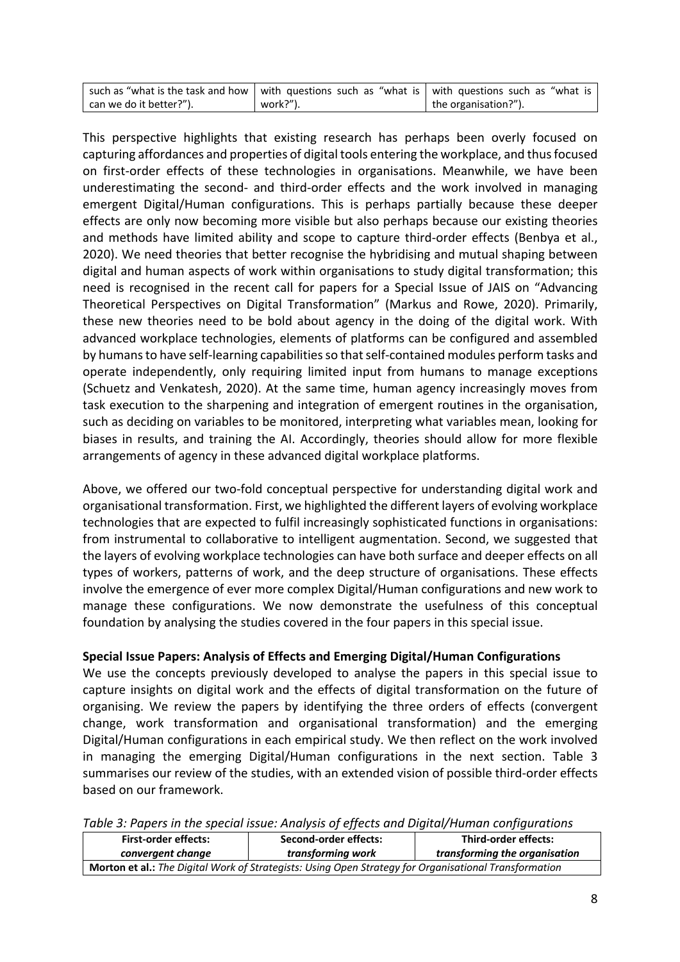| such as "what is the task and how   with questions such as "what is   with questions such as "what is |          |                      |
|-------------------------------------------------------------------------------------------------------|----------|----------------------|
| can we do it better?").                                                                               | work?"). | the organisation?"). |

This perspective highlights that existing research has perhaps been overly focused on capturing affordances and properties of digital tools entering the workplace, and thusfocused on first-order effects of these technologies in organisations. Meanwhile, we have been underestimating the second- and third-order effects and the work involved in managing emergent Digital/Human configurations. This is perhaps partially because these deeper effects are only now becoming more visible but also perhaps because our existing theories and methods have limited ability and scope to capture third-order effects (Benbya et al., 2020). We need theories that better recognise the hybridising and mutual shaping between digital and human aspects of work within organisations to study digital transformation; this need is recognised in the recent call for papers for a Special Issue of JAIS on "Advancing Theoretical Perspectives on Digital Transformation" (Markus and Rowe, 2020). Primarily, these new theories need to be bold about agency in the doing of the digital work. With advanced workplace technologies, elements of platforms can be configured and assembled by humans to have self-learning capabilities so that self-contained modules perform tasks and operate independently, only requiring limited input from humans to manage exceptions (Schuetz and Venkatesh, 2020). At the same time, human agency increasingly moves from task execution to the sharpening and integration of emergent routines in the organisation, such as deciding on variables to be monitored, interpreting what variables mean, looking for biases in results, and training the AI. Accordingly, theories should allow for more flexible arrangements of agency in these advanced digital workplace platforms.

Above, we offered our two-fold conceptual perspective for understanding digital work and organisational transformation. First, we highlighted the different layers of evolving workplace technologies that are expected to fulfil increasingly sophisticated functions in organisations: from instrumental to collaborative to intelligent augmentation. Second, we suggested that the layers of evolving workplace technologies can have both surface and deeper effects on all types of workers, patterns of work, and the deep structure of organisations. These effects involve the emergence of ever more complex Digital/Human configurations and new work to manage these configurations. We now demonstrate the usefulness of this conceptual foundation by analysing the studies covered in the four papers in this special issue.

## **Special Issue Papers: Analysis of Effects and Emerging Digital/Human Configurations**

We use the concepts previously developed to analyse the papers in this special issue to capture insights on digital work and the effects of digital transformation on the future of organising. We review the papers by identifying the three orders of effects (convergent change, work transformation and organisational transformation) and the emerging Digital/Human configurations in each empirical study. We then reflect on the work involved in managing the emerging Digital/Human configurations in the next section. Table 3 summarises our review of the studies, with an extended vision of possible third-order effects based on our framework.

|  | Table 3: Papers in the special issue: Analysis of effects and Digital/Human configurations |  |
|--|--------------------------------------------------------------------------------------------|--|
|  |                                                                                            |  |

| <b>First-order effects:</b>                                                                           | Second-order effects: | Third-order effects:          |
|-------------------------------------------------------------------------------------------------------|-----------------------|-------------------------------|
| convergent change                                                                                     | transforming work     | transforming the organisation |
| Morton et al.: The Digital Work of Strategists: Using Open Strategy for Organisational Transformation |                       |                               |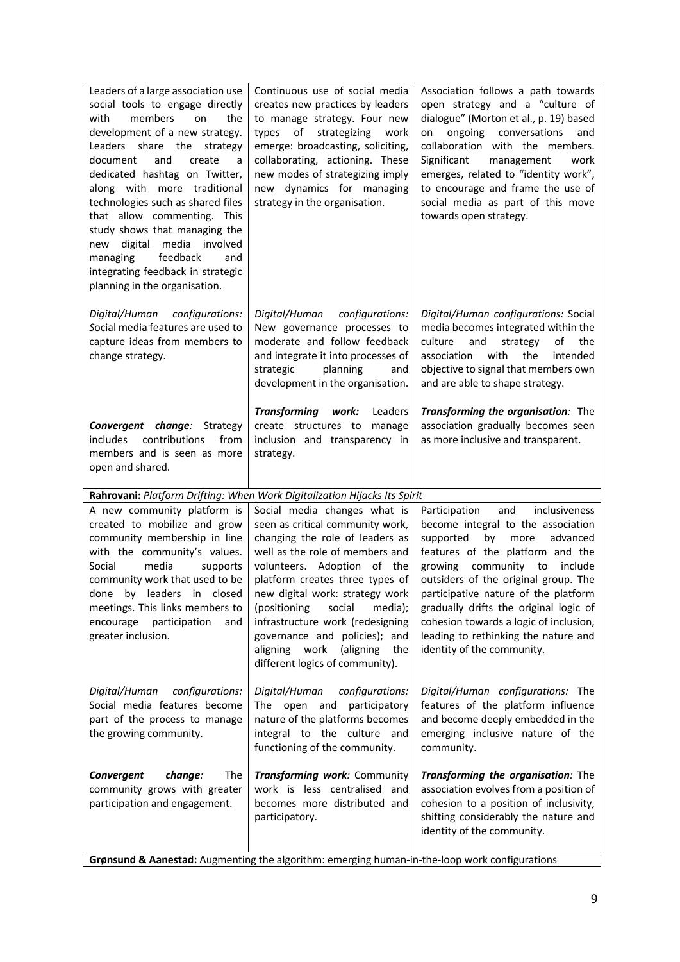| Leaders of a large association use<br>social tools to engage directly<br>members<br>with<br>on<br>the<br>development of a new strategy.<br>Leaders share the<br>strategy<br>and<br>document<br>create<br>a<br>dedicated hashtag on Twitter,<br>along with more traditional<br>technologies such as shared files<br>that allow commenting. This<br>study shows that managing the<br>digital media involved<br>new<br>feedback<br>managing<br>and<br>integrating feedback in strategic<br>planning in the organisation. | Continuous use of social media<br>creates new practices by leaders<br>to manage strategy. Four new<br>types of strategizing work<br>emerge: broadcasting, soliciting,<br>collaborating, actioning. These<br>new modes of strategizing imply<br>new dynamics for managing<br>strategy in the organisation.                                                                                                                     | Association follows a path towards<br>open strategy and a "culture of<br>dialogue" (Morton et al., p. 19) based<br>ongoing conversations<br>and<br>on<br>collaboration with the members.<br>Significant<br>management<br>work<br>emerges, related to "identity work",<br>to encourage and frame the use of<br>social media as part of this move<br>towards open strategy.                                                        |
|-----------------------------------------------------------------------------------------------------------------------------------------------------------------------------------------------------------------------------------------------------------------------------------------------------------------------------------------------------------------------------------------------------------------------------------------------------------------------------------------------------------------------|-------------------------------------------------------------------------------------------------------------------------------------------------------------------------------------------------------------------------------------------------------------------------------------------------------------------------------------------------------------------------------------------------------------------------------|----------------------------------------------------------------------------------------------------------------------------------------------------------------------------------------------------------------------------------------------------------------------------------------------------------------------------------------------------------------------------------------------------------------------------------|
| Digital/Human configurations:<br>Social media features are used to<br>capture ideas from members to<br>change strategy.                                                                                                                                                                                                                                                                                                                                                                                               | Digital/Human configurations:<br>New governance processes to<br>moderate and follow feedback<br>and integrate it into processes of<br>planning<br>strategic<br>and<br>development in the organisation.                                                                                                                                                                                                                        | Digital/Human configurations: Social<br>media becomes integrated within the<br>culture<br>and<br>strategy<br>of<br>the<br>with<br>the<br>association<br>intended<br>objective to signal that members own<br>and are able to shape strategy.                                                                                                                                                                                      |
| <b>Convergent change:</b> Strategy<br>includes<br>contributions<br>from<br>members and is seen as more<br>open and shared.                                                                                                                                                                                                                                                                                                                                                                                            | <b>Transforming</b><br>work:<br>Leaders<br>create structures to<br>manage<br>inclusion and transparency in<br>strategy.                                                                                                                                                                                                                                                                                                       | Transforming the organisation: The<br>association gradually becomes seen<br>as more inclusive and transparent.                                                                                                                                                                                                                                                                                                                   |
|                                                                                                                                                                                                                                                                                                                                                                                                                                                                                                                       | Rahrovani: Platform Drifting: When Work Digitalization Hijacks Its Spirit                                                                                                                                                                                                                                                                                                                                                     |                                                                                                                                                                                                                                                                                                                                                                                                                                  |
| A new community platform is<br>created to mobilize and grow<br>community membership in line<br>with the community's values.<br>Social<br>media<br>supports<br>community work that used to be<br>done by leaders in closed<br>meetings. This links members to<br>participation<br>encourage<br>and<br>greater inclusion.                                                                                                                                                                                               | Social media changes what is<br>seen as critical community work,<br>changing the role of leaders as<br>well as the role of members and<br>volunteers. Adoption of the<br>platform creates three types of<br>new digital work: strategy work<br>(positioning<br>social<br>media);<br>infrastructure work (redesigning<br>governance and policies); and<br>aligning work<br>(aligning<br>the<br>different logics of community). | Participation<br>and<br>inclusiveness<br>become integral to the association<br>by<br>supported<br>more<br>advanced<br>features of the platform and the<br>growing community to include<br>outsiders of the original group. The<br>participative nature of the platform<br>gradually drifts the original logic of<br>cohesion towards a logic of inclusion,<br>leading to rethinking the nature and<br>identity of the community. |
| Digital/Human configurations:<br>Social media features become<br>part of the process to manage<br>the growing community.                                                                                                                                                                                                                                                                                                                                                                                              | Digital/Human<br>configurations:<br>The open and<br>participatory<br>nature of the platforms becomes<br>integral to the culture and<br>functioning of the community.                                                                                                                                                                                                                                                          | Digital/Human configurations: The<br>features of the platform influence<br>and become deeply embedded in the<br>emerging inclusive nature of the<br>community.                                                                                                                                                                                                                                                                   |
| Convergent<br>change:<br>The<br>community grows with greater<br>participation and engagement.                                                                                                                                                                                                                                                                                                                                                                                                                         | Transforming work: Community<br>work is less centralised and<br>becomes more distributed and<br>participatory.                                                                                                                                                                                                                                                                                                                | Transforming the organisation: The<br>association evolves from a position of<br>cohesion to a position of inclusivity,<br>shifting considerably the nature and<br>identity of the community.                                                                                                                                                                                                                                     |
| Grønsund & Aanestad: Augmenting the algorithm: emerging human-in-the-loop work configurations                                                                                                                                                                                                                                                                                                                                                                                                                         |                                                                                                                                                                                                                                                                                                                                                                                                                               |                                                                                                                                                                                                                                                                                                                                                                                                                                  |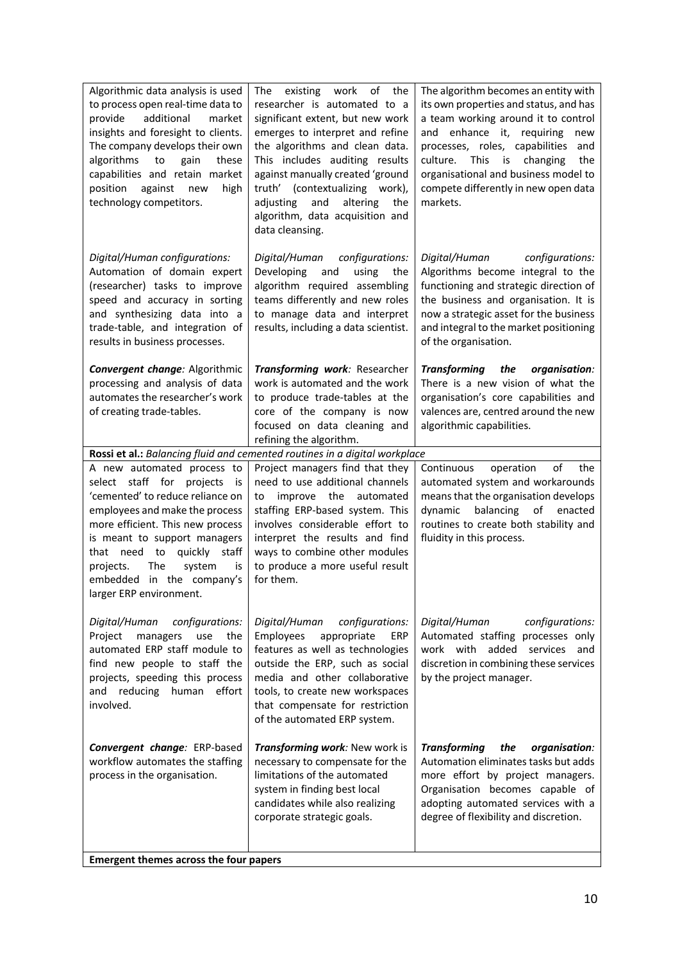| Algorithmic data analysis is used<br>to process open real-time data to<br>additional<br>market<br>provide<br>insights and foresight to clients.<br>The company develops their own<br>algorithms<br>to<br>gain<br>these<br>capabilities and retain market<br>position<br>against<br>new<br>high<br>technology competitors.            | existing<br>work<br>of<br>the<br>The<br>researcher is automated to a<br>significant extent, but new work<br>emerges to interpret and refine<br>the algorithms and clean data.<br>This includes auditing results<br>against manually created 'ground<br>truth' (contextualizing work),<br>adjusting<br>and<br>altering<br>the<br>algorithm, data acquisition and<br>data cleansing. | The algorithm becomes an entity with<br>its own properties and status, and has<br>a team working around it to control<br>and enhance it, requiring<br>new<br>processes, roles, capabilities<br>and<br>culture.<br>This<br>is<br>changing<br>the<br>organisational and business model to<br>compete differently in new open data<br>markets. |
|--------------------------------------------------------------------------------------------------------------------------------------------------------------------------------------------------------------------------------------------------------------------------------------------------------------------------------------|------------------------------------------------------------------------------------------------------------------------------------------------------------------------------------------------------------------------------------------------------------------------------------------------------------------------------------------------------------------------------------|---------------------------------------------------------------------------------------------------------------------------------------------------------------------------------------------------------------------------------------------------------------------------------------------------------------------------------------------|
| Digital/Human configurations:<br>Automation of domain expert<br>(researcher) tasks to improve<br>speed and accuracy in sorting<br>and synthesizing data into a<br>trade-table, and integration of<br>results in business processes.                                                                                                  | Digital/Human<br>configurations:<br>Developing<br>and<br>using<br>the<br>algorithm required assembling<br>teams differently and new roles<br>to manage data and interpret<br>results, including a data scientist.                                                                                                                                                                  | configurations:<br>Digital/Human<br>Algorithms become integral to the<br>functioning and strategic direction of<br>the business and organisation. It is<br>now a strategic asset for the business<br>and integral to the market positioning<br>of the organisation.                                                                         |
| Convergent change: Algorithmic<br>processing and analysis of data<br>automates the researcher's work<br>of creating trade-tables.                                                                                                                                                                                                    | Transforming work: Researcher<br>work is automated and the work<br>to produce trade-tables at the<br>core of the company is now<br>focused on data cleaning and<br>refining the algorithm.                                                                                                                                                                                         | <b>Transforming</b><br>the<br>organisation:<br>There is a new vision of what the<br>organisation's core capabilities and<br>valences are, centred around the new<br>algorithmic capabilities.                                                                                                                                               |
|                                                                                                                                                                                                                                                                                                                                      | Rossi et al.: Balancing fluid and cemented routines in a digital workplace                                                                                                                                                                                                                                                                                                         |                                                                                                                                                                                                                                                                                                                                             |
| A new automated process to<br>select staff for projects<br>is<br>'cemented' to reduce reliance on<br>employees and make the process<br>more efficient. This new process<br>is meant to support managers<br>that need to<br>quickly staff<br>projects.<br>The<br>system<br>is<br>embedded in the company's<br>larger ERP environment. | Project managers find that they<br>need to use additional channels<br>improve the<br>automated<br>to<br>staffing ERP-based system. This<br>involves considerable effort to<br>interpret the results and find<br>ways to combine other modules<br>to produce a more useful result<br>for them.                                                                                      | of<br>Continuous<br>the<br>operation<br>automated system and workarounds<br>means that the organisation develops<br>balancing of enacted<br>dynamic<br>routines to create both stability and<br>fluidity in this process.                                                                                                                   |
| Digital/Human<br>configurations:<br>Project<br>managers<br>the<br>use<br>automated ERP staff module to<br>find new people to staff the<br>projects, speeding this process<br>reducing human effort<br>and<br>involved.                                                                                                               | configurations:<br>Digital/Human<br>Employees<br>appropriate<br>ERP<br>features as well as technologies<br>outside the ERP, such as social<br>media and other collaborative<br>tools, to create new workspaces<br>that compensate for restriction<br>of the automated ERP system.                                                                                                  | Digital/Human<br>configurations:<br>Automated staffing processes only<br>work with added services<br>and<br>discretion in combining these services<br>by the project manager.                                                                                                                                                               |
| Convergent change: ERP-based<br>workflow automates the staffing<br>process in the organisation.<br>Emergent themes across the four papers                                                                                                                                                                                            | Transforming work: New work is<br>necessary to compensate for the<br>limitations of the automated<br>system in finding best local<br>candidates while also realizing<br>corporate strategic goals.                                                                                                                                                                                 | <b>Transforming</b><br>the<br>organisation:<br>Automation eliminates tasks but adds<br>more effort by project managers.<br>Organisation becomes capable of<br>adopting automated services with a<br>degree of flexibility and discretion.                                                                                                   |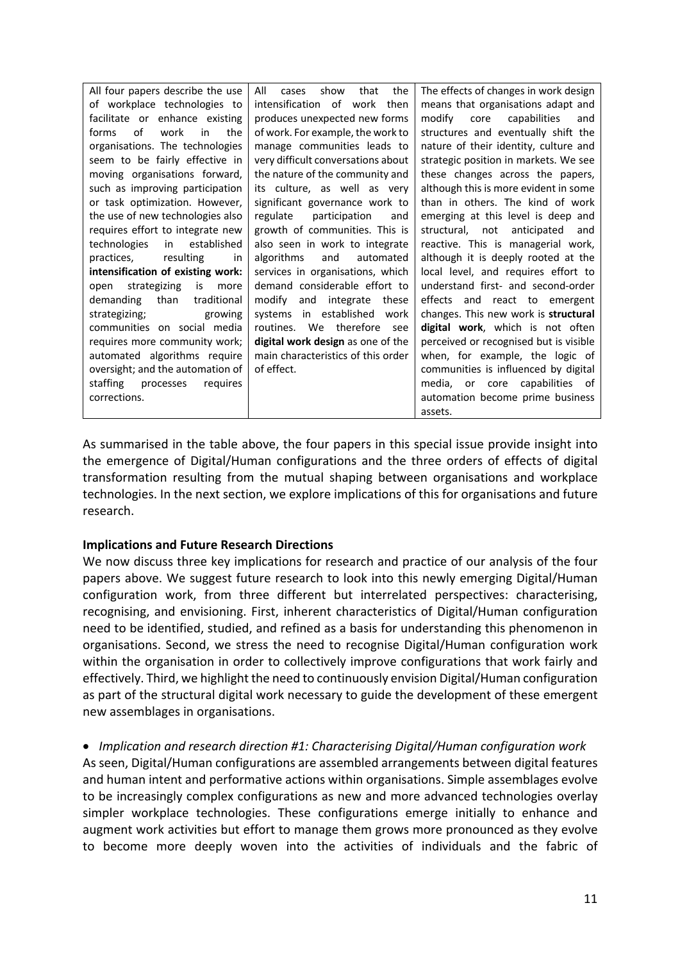| All four papers describe the use   | All<br>show<br>the<br>that<br>cases | The effects of changes in work design  |
|------------------------------------|-------------------------------------|----------------------------------------|
| of workplace technologies to       | intensification of work<br>then     | means that organisations adapt and     |
| facilitate or enhance existing     | produces unexpected new forms       | modify<br>capabilities<br>core<br>and  |
| of<br>work<br>in<br>the<br>forms   | of work. For example, the work to   | structures and eventually shift the    |
| organisations. The technologies    | manage communities leads to         | nature of their identity, culture and  |
| seem to be fairly effective in     | very difficult conversations about  | strategic position in markets. We see  |
| moving organisations forward,      | the nature of the community and     | these changes across the papers,       |
| such as improving participation    | its culture, as well as very        | although this is more evident in some  |
| or task optimization. However,     | significant governance work to      | than in others. The kind of work       |
| the use of new technologies also   | participation<br>regulate<br>and    | emerging at this level is deep and     |
| requires effort to integrate new   | growth of communities. This is      | structural, not<br>anticipated<br>and  |
| technologies<br>in<br>established  | also seen in work to integrate      | reactive. This is managerial work,     |
| practices,<br>resulting<br>in      | algorithms<br>and<br>automated      | although it is deeply rooted at the    |
| intensification of existing work:  | services in organisations, which    | local level, and requires effort to    |
| strategizing<br>is<br>open<br>more | demand considerable effort to       | understand first- and second-order     |
| demanding<br>than<br>traditional   | modify and integrate these          | effects and react to emergent          |
| strategizing;<br>growing           | systems in established<br>work      | changes. This new work is structural   |
| communities on social media        | routines. We therefore<br>see       | digital work, which is not often       |
| requires more community work;      | digital work design as one of the   | perceived or recognised but is visible |
| automated algorithms require       | main characteristics of this order  | when, for example, the logic of        |
| oversight; and the automation of   | of effect.                          | communities is influenced by digital   |
| staffing<br>requires<br>processes  |                                     | media, or core capabilities of         |
| corrections.                       |                                     |                                        |
|                                    |                                     | assets.                                |

As summarised in the table above, the four papers in this special issue provide insight into the emergence of Digital/Human configurations and the three orders of effects of digital transformation resulting from the mutual shaping between organisations and workplace technologies. In the next section, we explore implications of this for organisations and future research.

#### **Implications and Future Research Directions**

We now discuss three key implications for research and practice of our analysis of the four papers above. We suggest future research to look into this newly emerging Digital/Human configuration work, from three different but interrelated perspectives: characterising, recognising, and envisioning. First, inherent characteristics of Digital/Human configuration need to be identified, studied, and refined as a basis for understanding this phenomenon in organisations. Second, we stress the need to recognise Digital/Human configuration work within the organisation in order to collectively improve configurations that work fairly and effectively. Third, we highlight the need to continuously envision Digital/Human configuration as part of the structural digital work necessary to guide the development of these emergent new assemblages in organisations.

• *Implication and research direction #1: Characterising Digital/Human configuration work* As seen, Digital/Human configurations are assembled arrangements between digital features and human intent and performative actions within organisations. Simple assemblages evolve to be increasingly complex configurations as new and more advanced technologies overlay simpler workplace technologies. These configurations emerge initially to enhance and augment work activities but effort to manage them grows more pronounced as they evolve to become more deeply woven into the activities of individuals and the fabric of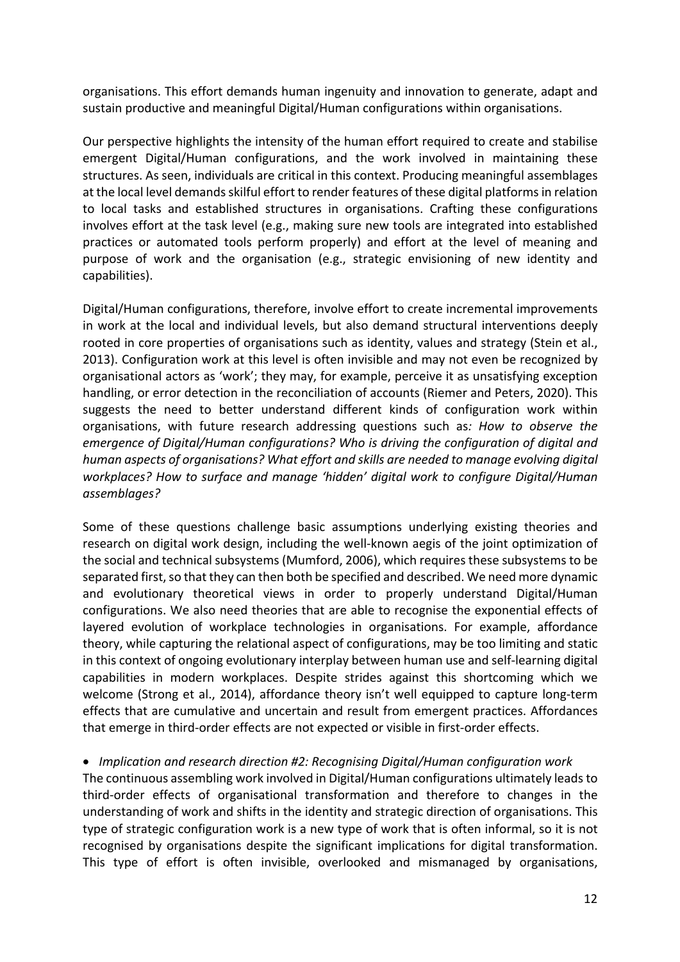organisations. This effort demands human ingenuity and innovation to generate, adapt and sustain productive and meaningful Digital/Human configurations within organisations.

Our perspective highlights the intensity of the human effort required to create and stabilise emergent Digital/Human configurations, and the work involved in maintaining these structures. As seen, individuals are critical in this context. Producing meaningful assemblages at the local level demands skilful effort to render features of these digital platforms in relation to local tasks and established structures in organisations. Crafting these configurations involves effort at the task level (e.g., making sure new tools are integrated into established practices or automated tools perform properly) and effort at the level of meaning and purpose of work and the organisation (e.g., strategic envisioning of new identity and capabilities).

Digital/Human configurations, therefore, involve effort to create incremental improvements in work at the local and individual levels, but also demand structural interventions deeply rooted in core properties of organisations such as identity, values and strategy (Stein et al., 2013). Configuration work at this level is often invisible and may not even be recognized by organisational actors as 'work'; they may, for example, perceive it as unsatisfying exception handling, or error detection in the reconciliation of accounts (Riemer and Peters, 2020). This suggests the need to better understand different kinds of configuration work within organisations, with future research addressing questions such as*: How to observe the emergence of Digital/Human configurations? Who is driving the configuration of digital and human aspects of organisations? What effort and skills are needed to manage evolving digital workplaces? How to surface and manage 'hidden' digital work to configure Digital/Human assemblages?* 

Some of these questions challenge basic assumptions underlying existing theories and research on digital work design, including the well-known aegis of the joint optimization of the social and technical subsystems (Mumford, 2006), which requires these subsystems to be separated first, so that they can then both be specified and described. We need more dynamic and evolutionary theoretical views in order to properly understand Digital/Human configurations. We also need theories that are able to recognise the exponential effects of layered evolution of workplace technologies in organisations. For example, affordance theory, while capturing the relational aspect of configurations, may be too limiting and static in this context of ongoing evolutionary interplay between human use and self-learning digital capabilities in modern workplaces. Despite strides against this shortcoming which we welcome (Strong et al., 2014), affordance theory isn't well equipped to capture long-term effects that are cumulative and uncertain and result from emergent practices. Affordances that emerge in third-order effects are not expected or visible in first-order effects.

#### • *Implication and research direction #2: Recognising Digital/Human configuration work*

The continuous assembling work involved in Digital/Human configurations ultimately leads to third-order effects of organisational transformation and therefore to changes in the understanding of work and shifts in the identity and strategic direction of organisations. This type of strategic configuration work is a new type of work that is often informal, so it is not recognised by organisations despite the significant implications for digital transformation. This type of effort is often invisible, overlooked and mismanaged by organisations,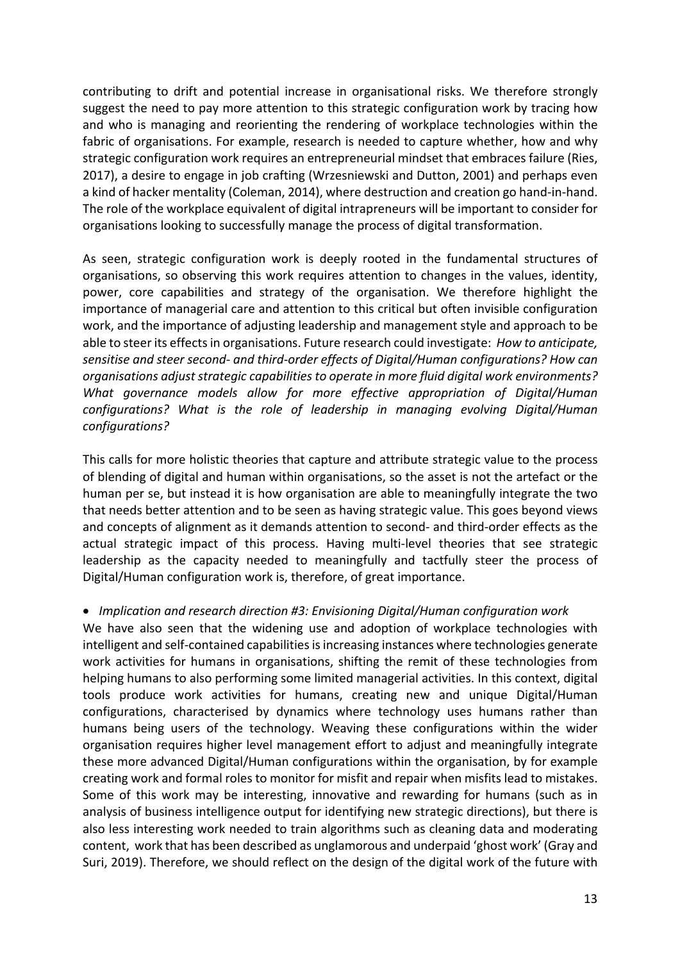contributing to drift and potential increase in organisational risks. We therefore strongly suggest the need to pay more attention to this strategic configuration work by tracing how and who is managing and reorienting the rendering of workplace technologies within the fabric of organisations. For example, research is needed to capture whether, how and why strategic configuration work requires an entrepreneurial mindset that embraces failure (Ries, 2017), a desire to engage in job crafting (Wrzesniewski and Dutton, 2001) and perhaps even a kind of hacker mentality (Coleman, 2014), where destruction and creation go hand-in-hand. The role of the workplace equivalent of digital intrapreneurs will be important to consider for organisations looking to successfully manage the process of digital transformation.

As seen, strategic configuration work is deeply rooted in the fundamental structures of organisations, so observing this work requires attention to changes in the values, identity, power, core capabilities and strategy of the organisation. We therefore highlight the importance of managerial care and attention to this critical but often invisible configuration work, and the importance of adjusting leadership and management style and approach to be able to steer its effects in organisations. Future research could investigate: *How to anticipate, sensitise and steer second- and third-order effects of Digital/Human configurations? How can organisations adjust strategic capabilities to operate in more fluid digital work environments? What governance models allow for more effective appropriation of Digital/Human configurations? What is the role of leadership in managing evolving Digital/Human configurations?*

This calls for more holistic theories that capture and attribute strategic value to the process of blending of digital and human within organisations, so the asset is not the artefact or the human per se, but instead it is how organisation are able to meaningfully integrate the two that needs better attention and to be seen as having strategic value. This goes beyond views and concepts of alignment as it demands attention to second- and third-order effects as the actual strategic impact of this process. Having multi-level theories that see strategic leadership as the capacity needed to meaningfully and tactfully steer the process of Digital/Human configuration work is, therefore, of great importance.

#### • *Implication and research direction #3: Envisioning Digital/Human configuration work*

We have also seen that the widening use and adoption of workplace technologies with intelligent and self-contained capabilities is increasing instances where technologies generate work activities for humans in organisations, shifting the remit of these technologies from helping humans to also performing some limited managerial activities. In this context, digital tools produce work activities for humans, creating new and unique Digital/Human configurations, characterised by dynamics where technology uses humans rather than humans being users of the technology. Weaving these configurations within the wider organisation requires higher level management effort to adjust and meaningfully integrate these more advanced Digital/Human configurations within the organisation, by for example creating work and formal roles to monitor for misfit and repair when misfits lead to mistakes. Some of this work may be interesting, innovative and rewarding for humans (such as in analysis of business intelligence output for identifying new strategic directions), but there is also less interesting work needed to train algorithms such as cleaning data and moderating content, work that has been described as unglamorous and underpaid 'ghost work' (Gray and Suri, 2019). Therefore, we should reflect on the design of the digital work of the future with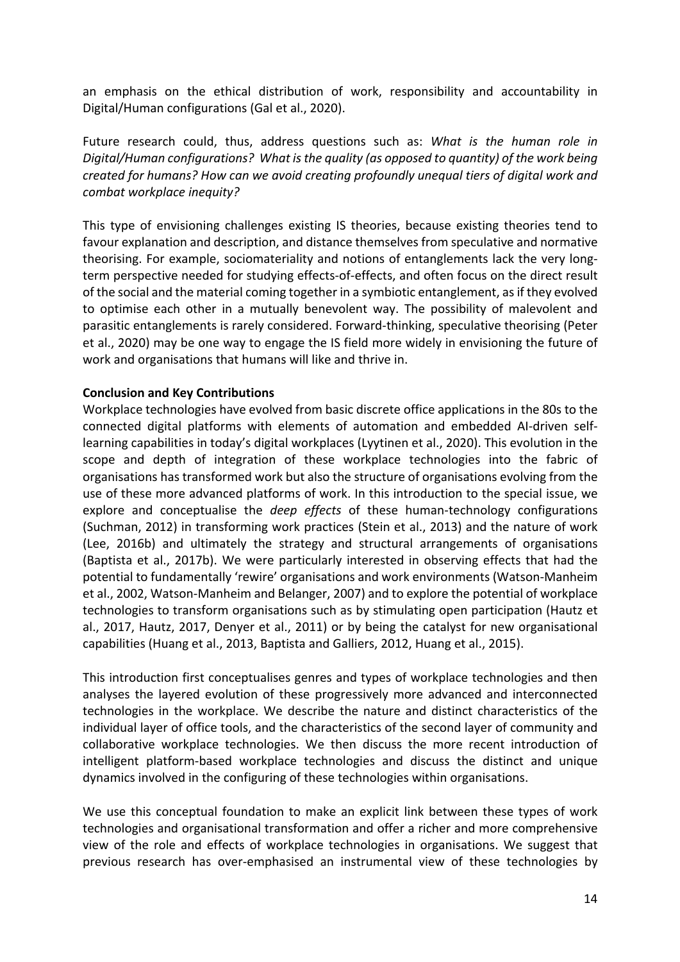an emphasis on the ethical distribution of work, responsibility and accountability in Digital/Human configurations (Gal et al., 2020).

Future research could, thus, address questions such as: *What is the human role in Digital/Human configurations? What is the quality (as opposed to quantity) of the work being created for humans? How can we avoid creating profoundly unequal tiers of digital work and combat workplace inequity?*

This type of envisioning challenges existing IS theories, because existing theories tend to favour explanation and description, and distance themselves from speculative and normative theorising. For example, sociomateriality and notions of entanglements lack the very longterm perspective needed for studying effects-of-effects, and often focus on the direct result of the social and the material coming together in a symbiotic entanglement, as if they evolved to optimise each other in a mutually benevolent way. The possibility of malevolent and parasitic entanglements is rarely considered. Forward-thinking, speculative theorising (Peter et al., 2020) may be one way to engage the IS field more widely in envisioning the future of work and organisations that humans will like and thrive in.

#### **Conclusion and Key Contributions**

Workplace technologies have evolved from basic discrete office applications in the 80s to the connected digital platforms with elements of automation and embedded AI-driven selflearning capabilities in today's digital workplaces (Lyytinen et al., 2020). This evolution in the scope and depth of integration of these workplace technologies into the fabric of organisations has transformed work but also the structure of organisations evolving from the use of these more advanced platforms of work. In this introduction to the special issue, we explore and conceptualise the *deep effects* of these human-technology configurations (Suchman, 2012) in transforming work practices (Stein et al., 2013) and the nature of work (Lee, 2016b) and ultimately the strategy and structural arrangements of organisations (Baptista et al., 2017b). We were particularly interested in observing effects that had the potential to fundamentally 'rewire' organisations and work environments (Watson-Manheim et al., 2002, Watson-Manheim and Belanger, 2007) and to explore the potential of workplace technologies to transform organisations such as by stimulating open participation (Hautz et al., 2017, Hautz, 2017, Denyer et al., 2011) or by being the catalyst for new organisational capabilities (Huang et al., 2013, Baptista and Galliers, 2012, Huang et al., 2015).

This introduction first conceptualises genres and types of workplace technologies and then analyses the layered evolution of these progressively more advanced and interconnected technologies in the workplace. We describe the nature and distinct characteristics of the individual layer of office tools, and the characteristics of the second layer of community and collaborative workplace technologies. We then discuss the more recent introduction of intelligent platform-based workplace technologies and discuss the distinct and unique dynamics involved in the configuring of these technologies within organisations.

We use this conceptual foundation to make an explicit link between these types of work technologies and organisational transformation and offer a richer and more comprehensive view of the role and effects of workplace technologies in organisations. We suggest that previous research has over-emphasised an instrumental view of these technologies by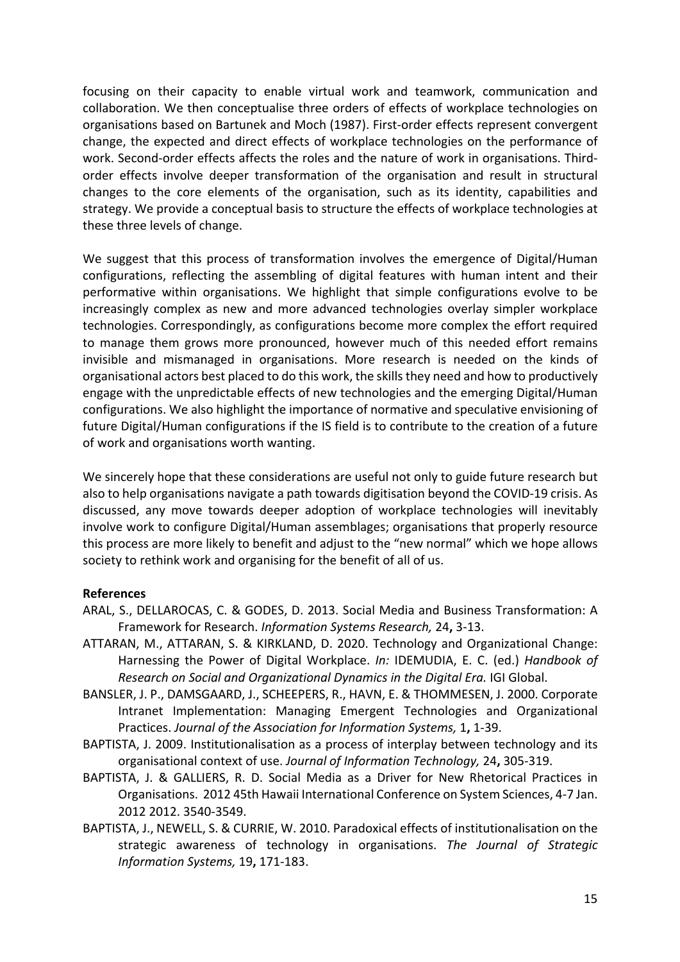focusing on their capacity to enable virtual work and teamwork, communication and collaboration. We then conceptualise three orders of effects of workplace technologies on organisations based on Bartunek and Moch (1987). First-order effects represent convergent change, the expected and direct effects of workplace technologies on the performance of work. Second-order effects affects the roles and the nature of work in organisations. Thirdorder effects involve deeper transformation of the organisation and result in structural changes to the core elements of the organisation, such as its identity, capabilities and strategy. We provide a conceptual basis to structure the effects of workplace technologies at these three levels of change.

We suggest that this process of transformation involves the emergence of Digital/Human configurations, reflecting the assembling of digital features with human intent and their performative within organisations. We highlight that simple configurations evolve to be increasingly complex as new and more advanced technologies overlay simpler workplace technologies. Correspondingly, as configurations become more complex the effort required to manage them grows more pronounced, however much of this needed effort remains invisible and mismanaged in organisations. More research is needed on the kinds of organisational actors best placed to do this work, the skills they need and how to productively engage with the unpredictable effects of new technologies and the emerging Digital/Human configurations. We also highlight the importance of normative and speculative envisioning of future Digital/Human configurations if the IS field is to contribute to the creation of a future of work and organisations worth wanting.

We sincerely hope that these considerations are useful not only to guide future research but also to help organisations navigate a path towards digitisation beyond the COVID-19 crisis. As discussed, any move towards deeper adoption of workplace technologies will inevitably involve work to configure Digital/Human assemblages; organisations that properly resource this process are more likely to benefit and adjust to the "new normal" which we hope allows society to rethink work and organising for the benefit of all of us.

#### **References**

- ARAL, S., DELLAROCAS, C. & GODES, D. 2013. Social Media and Business Transformation: A Framework for Research. *Information Systems Research,* 24**,** 3-13.
- ATTARAN, M., ATTARAN, S. & KIRKLAND, D. 2020. Technology and Organizational Change: Harnessing the Power of Digital Workplace. *In:* IDEMUDIA, E. C. (ed.) *Handbook of Research on Social and Organizational Dynamics in the Digital Era.* IGI Global.
- BANSLER, J. P., DAMSGAARD, J., SCHEEPERS, R., HAVN, E. & THOMMESEN, J. 2000. Corporate Intranet Implementation: Managing Emergent Technologies and Organizational Practices. *Journal of the Association for Information Systems,* 1**,** 1-39.
- BAPTISTA, J. 2009. Institutionalisation as a process of interplay between technology and its organisational context of use. *Journal of Information Technology,* 24**,** 305-319.
- BAPTISTA, J. & GALLIERS, R. D. Social Media as a Driver for New Rhetorical Practices in Organisations. 2012 45th Hawaii International Conference on System Sciences, 4-7 Jan. 2012 2012. 3540-3549.
- BAPTISTA, J., NEWELL, S. & CURRIE, W. 2010. Paradoxical effects of institutionalisation on the strategic awareness of technology in organisations. *The Journal of Strategic Information Systems,* 19**,** 171-183.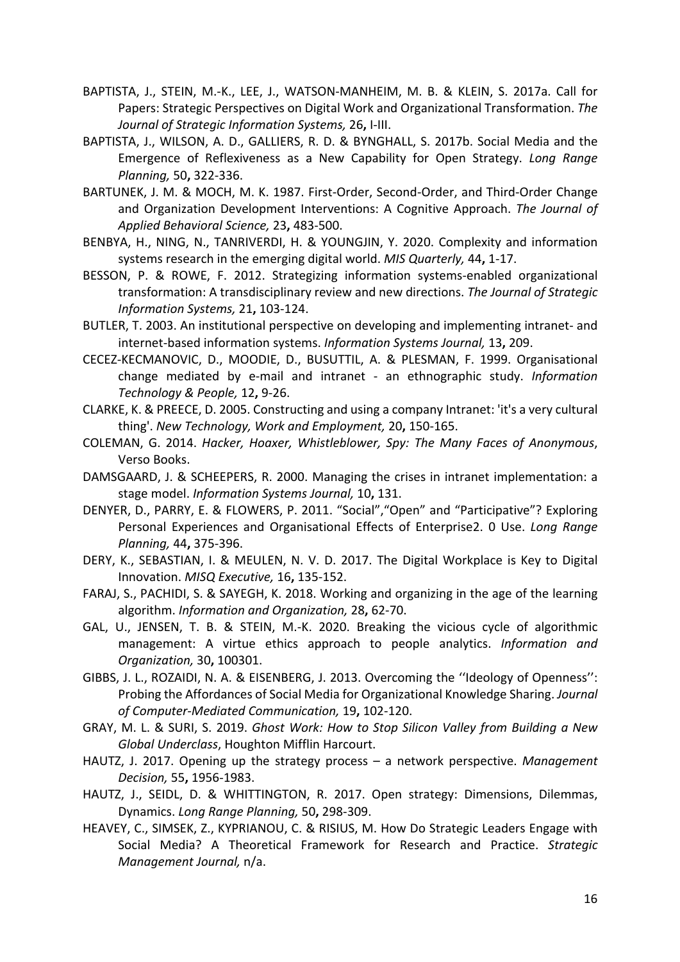- BAPTISTA, J., STEIN, M.-K., LEE, J., WATSON-MANHEIM, M. B. & KLEIN, S. 2017a. Call for Papers: Strategic Perspectives on Digital Work and Organizational Transformation. *The Journal of Strategic Information Systems,* 26**,** I-III.
- BAPTISTA, J., WILSON, A. D., GALLIERS, R. D. & BYNGHALL, S. 2017b. Social Media and the Emergence of Reflexiveness as a New Capability for Open Strategy. *Long Range Planning,* 50**,** 322-336.
- BARTUNEK, J. M. & MOCH, M. K. 1987. First-Order, Second-Order, and Third-Order Change and Organization Development Interventions: A Cognitive Approach. *The Journal of Applied Behavioral Science,* 23**,** 483-500.
- BENBYA, H., NING, N., TANRIVERDI, H. & YOUNGJIN, Y. 2020. Complexity and information systems research in the emerging digital world. *MIS Quarterly,* 44**,** 1-17.
- BESSON, P. & ROWE, F. 2012. Strategizing information systems-enabled organizational transformation: A transdisciplinary review and new directions. *The Journal of Strategic Information Systems,* 21**,** 103-124.
- BUTLER, T. 2003. An institutional perspective on developing and implementing intranet- and internet-based information systems. *Information Systems Journal,* 13**,** 209.
- CECEZ-KECMANOVIC, D., MOODIE, D., BUSUTTIL, A. & PLESMAN, F. 1999. Organisational change mediated by e-mail and intranet - an ethnographic study. *Information Technology & People,* 12**,** 9-26.
- CLARKE, K. & PREECE, D. 2005. Constructing and using a company Intranet: 'it's a very cultural thing'. *New Technology, Work and Employment,* 20**,** 150-165.
- COLEMAN, G. 2014. *Hacker, Hoaxer, Whistleblower, Spy: The Many Faces of Anonymous*, Verso Books.
- DAMSGAARD, J. & SCHEEPERS, R. 2000. Managing the crises in intranet implementation: a stage model. *Information Systems Journal,* 10**,** 131.
- DENYER, D., PARRY, E. & FLOWERS, P. 2011. "Social","Open" and "Participative"? Exploring Personal Experiences and Organisational Effects of Enterprise2. 0 Use. *Long Range Planning,* 44**,** 375-396.
- DERY, K., SEBASTIAN, I. & MEULEN, N. V. D. 2017. The Digital Workplace is Key to Digital Innovation. *MISQ Executive,* 16**,** 135-152.
- FARAJ, S., PACHIDI, S. & SAYEGH, K. 2018. Working and organizing in the age of the learning algorithm. *Information and Organization,* 28**,** 62-70.
- GAL, U., JENSEN, T. B. & STEIN, M.-K. 2020. Breaking the vicious cycle of algorithmic management: A virtue ethics approach to people analytics. *Information and Organization,* 30**,** 100301.
- GIBBS, J. L., ROZAIDI, N. A. & EISENBERG, J. 2013. Overcoming the ''Ideology of Openness'': Probing the Affordances of Social Media for Organizational Knowledge Sharing. *Journal of Computer-Mediated Communication,* 19**,** 102-120.
- GRAY, M. L. & SURI, S. 2019. *Ghost Work: How to Stop Silicon Valley from Building a New Global Underclass*, Houghton Mifflin Harcourt.
- HAUTZ, J. 2017. Opening up the strategy process a network perspective. *Management Decision,* 55**,** 1956-1983.
- HAUTZ, J., SEIDL, D. & WHITTINGTON, R. 2017. Open strategy: Dimensions, Dilemmas, Dynamics. *Long Range Planning,* 50**,** 298-309.
- HEAVEY, C., SIMSEK, Z., KYPRIANOU, C. & RISIUS, M. How Do Strategic Leaders Engage with Social Media? A Theoretical Framework for Research and Practice. *Strategic Management Journal,* n/a.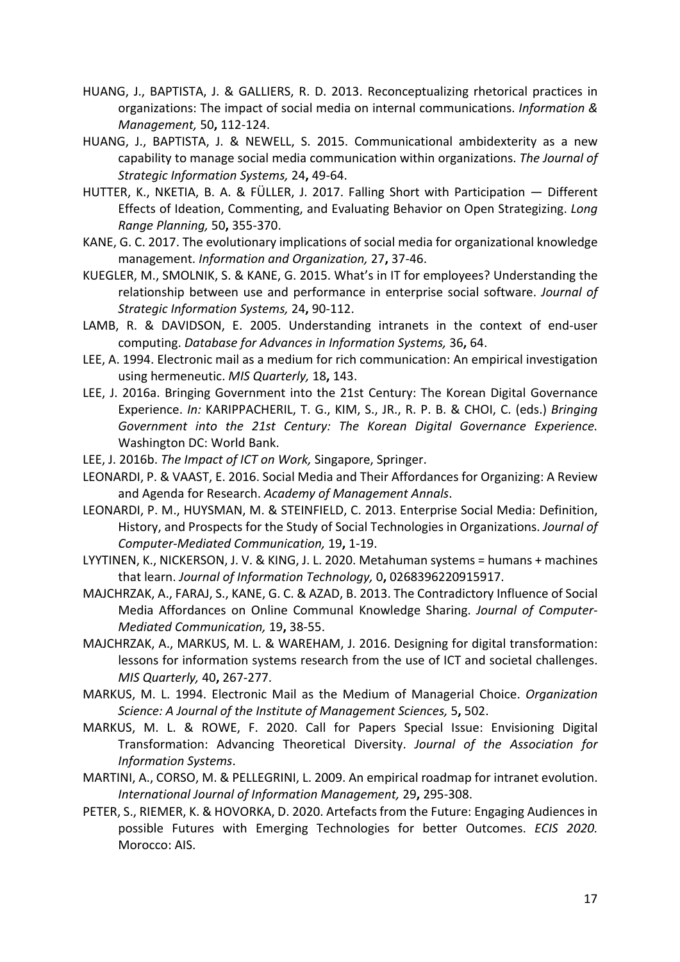- HUANG, J., BAPTISTA, J. & GALLIERS, R. D. 2013. Reconceptualizing rhetorical practices in organizations: The impact of social media on internal communications. *Information & Management,* 50**,** 112-124.
- HUANG, J., BAPTISTA, J. & NEWELL, S. 2015. Communicational ambidexterity as a new capability to manage social media communication within organizations. *The Journal of Strategic Information Systems,* 24**,** 49-64.
- HUTTER, K., NKETIA, B. A. & FÜLLER, J. 2017. Falling Short with Participation Different Effects of Ideation, Commenting, and Evaluating Behavior on Open Strategizing. *Long Range Planning,* 50**,** 355-370.
- KANE, G. C. 2017. The evolutionary implications of social media for organizational knowledge management. *Information and Organization,* 27**,** 37-46.
- KUEGLER, M., SMOLNIK, S. & KANE, G. 2015. What's in IT for employees? Understanding the relationship between use and performance in enterprise social software. *Journal of Strategic Information Systems,* 24**,** 90-112.
- LAMB, R. & DAVIDSON, E. 2005. Understanding intranets in the context of end-user computing. *Database for Advances in Information Systems,* 36**,** 64.
- LEE, A. 1994. Electronic mail as a medium for rich communication: An empirical investigation using hermeneutic. *MIS Quarterly,* 18**,** 143.
- LEE, J. 2016a. Bringing Government into the 21st Century: The Korean Digital Governance Experience. *In:* KARIPPACHERIL, T. G., KIM, S., JR., R. P. B. & CHOI, C. (eds.) *Bringing Government into the 21st Century: The Korean Digital Governance Experience.* Washington DC: World Bank.
- LEE, J. 2016b. *The Impact of ICT on Work,* Singapore, Springer.
- LEONARDI, P. & VAAST, E. 2016. Social Media and Their Affordances for Organizing: A Review and Agenda for Research. *Academy of Management Annals*.
- LEONARDI, P. M., HUYSMAN, M. & STEINFIELD, C. 2013. Enterprise Social Media: Definition, History, and Prospects for the Study of Social Technologies in Organizations. *Journal of Computer-Mediated Communication,* 19**,** 1-19.
- LYYTINEN, K., NICKERSON, J. V. & KING, J. L. 2020. Metahuman systems = humans + machines that learn. *Journal of Information Technology,* 0**,** 0268396220915917.
- MAJCHRZAK, A., FARAJ, S., KANE, G. C. & AZAD, B. 2013. The Contradictory Influence of Social Media Affordances on Online Communal Knowledge Sharing. *Journal of Computer-Mediated Communication,* 19**,** 38-55.
- MAJCHRZAK, A., MARKUS, M. L. & WAREHAM, J. 2016. Designing for digital transformation: lessons for information systems research from the use of ICT and societal challenges. *MIS Quarterly,* 40**,** 267-277.
- MARKUS, M. L. 1994. Electronic Mail as the Medium of Managerial Choice. *Organization Science: A Journal of the Institute of Management Sciences,* 5**,** 502.
- MARKUS, M. L. & ROWE, F. 2020. Call for Papers Special Issue: Envisioning Digital Transformation: Advancing Theoretical Diversity. *Journal of the Association for Information Systems*.
- MARTINI, A., CORSO, M. & PELLEGRINI, L. 2009. An empirical roadmap for intranet evolution. *International Journal of Information Management,* 29**,** 295-308.
- PETER, S., RIEMER, K. & HOVORKA, D. 2020. Artefacts from the Future: Engaging Audiences in possible Futures with Emerging Technologies for better Outcomes. *ECIS 2020.* Morocco: AIS.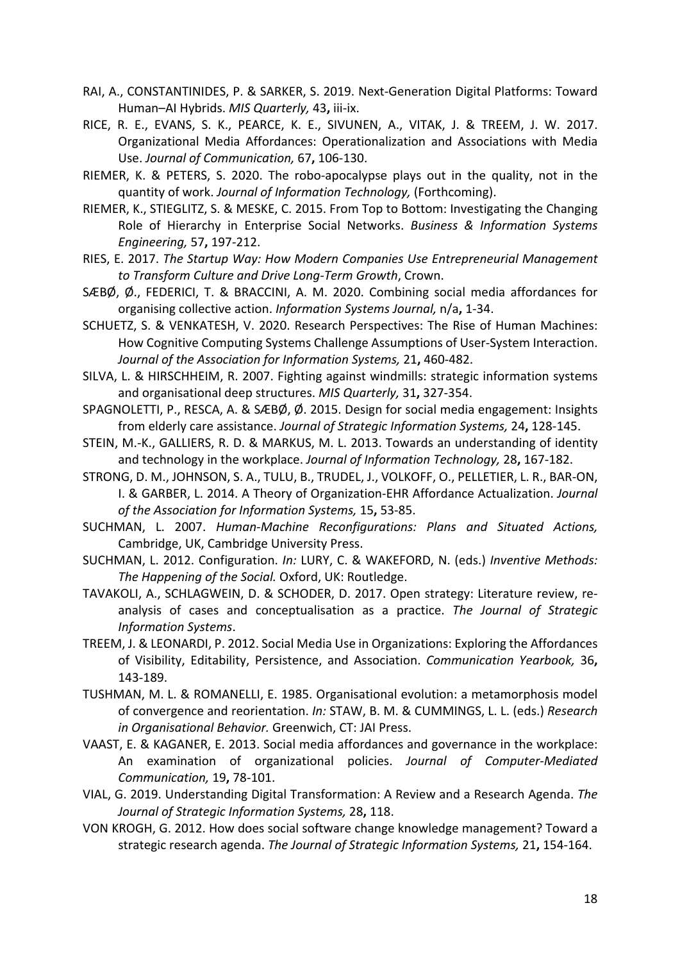- RAI, A., CONSTANTINIDES, P. & SARKER, S. 2019. Next-Generation Digital Platforms: Toward Human–AI Hybrids. *MIS Quarterly,* 43**,** iii-ix.
- RICE, R. E., EVANS, S. K., PEARCE, K. E., SIVUNEN, A., VITAK, J. & TREEM, J. W. 2017. Organizational Media Affordances: Operationalization and Associations with Media Use. *Journal of Communication,* 67**,** 106-130.
- RIEMER, K. & PETERS, S. 2020. The robo-apocalypse plays out in the quality, not in the quantity of work. *Journal of Information Technology,* (Forthcoming).
- RIEMER, K., STIEGLITZ, S. & MESKE, C. 2015. From Top to Bottom: Investigating the Changing Role of Hierarchy in Enterprise Social Networks. *Business & Information Systems Engineering,* 57**,** 197-212.
- RIES, E. 2017. *The Startup Way: How Modern Companies Use Entrepreneurial Management to Transform Culture and Drive Long-Term Growth*, Crown.
- SÆBØ, Ø., FEDERICI, T. & BRACCINI, A. M. 2020. Combining social media affordances for organising collective action. *Information Systems Journal,* n/a**,** 1-34.
- SCHUETZ, S. & VENKATESH, V. 2020. Research Perspectives: The Rise of Human Machines: How Cognitive Computing Systems Challenge Assumptions of User-System Interaction. *Journal of the Association for Information Systems,* 21**,** 460-482.
- SILVA, L. & HIRSCHHEIM, R. 2007. Fighting against windmills: strategic information systems and organisational deep structures. *MIS Quarterly,* 31**,** 327-354.
- SPAGNOLETTI, P., RESCA, A. & SÆBØ, Ø. 2015. Design for social media engagement: Insights from elderly care assistance. *Journal of Strategic Information Systems,* 24**,** 128-145.
- STEIN, M.-K., GALLIERS, R. D. & MARKUS, M. L. 2013. Towards an understanding of identity and technology in the workplace. *Journal of Information Technology,* 28**,** 167-182.
- STRONG, D. M., JOHNSON, S. A., TULU, B., TRUDEL, J., VOLKOFF, O., PELLETIER, L. R., BAR-ON, I. & GARBER, L. 2014. A Theory of Organization-EHR Affordance Actualization. *Journal of the Association for Information Systems,* 15**,** 53-85.
- SUCHMAN, L. 2007. *Human-Machine Reconfigurations: Plans and Situated Actions,*  Cambridge, UK, Cambridge University Press.
- SUCHMAN, L. 2012. Configuration. *In:* LURY, C. & WAKEFORD, N. (eds.) *Inventive Methods: The Happening of the Social.* Oxford, UK: Routledge.
- TAVAKOLI, A., SCHLAGWEIN, D. & SCHODER, D. 2017. Open strategy: Literature review, reanalysis of cases and conceptualisation as a practice. *The Journal of Strategic Information Systems*.
- TREEM, J. & LEONARDI, P. 2012. Social Media Use in Organizations: Exploring the Affordances of Visibility, Editability, Persistence, and Association. *Communication Yearbook,* 36**,** 143-189.
- TUSHMAN, M. L. & ROMANELLI, E. 1985. Organisational evolution: a metamorphosis model of convergence and reorientation. *In:* STAW, B. M. & CUMMINGS, L. L. (eds.) *Research in Organisational Behavior.* Greenwich, CT: JAI Press.
- VAAST, E. & KAGANER, E. 2013. Social media affordances and governance in the workplace: An examination of organizational policies. *Journal of Computer-Mediated Communication,* 19**,** 78-101.
- VIAL, G. 2019. Understanding Digital Transformation: A Review and a Research Agenda. *The Journal of Strategic Information Systems,* 28**,** 118.
- VON KROGH, G. 2012. How does social software change knowledge management? Toward a strategic research agenda. *The Journal of Strategic Information Systems,* 21**,** 154-164.